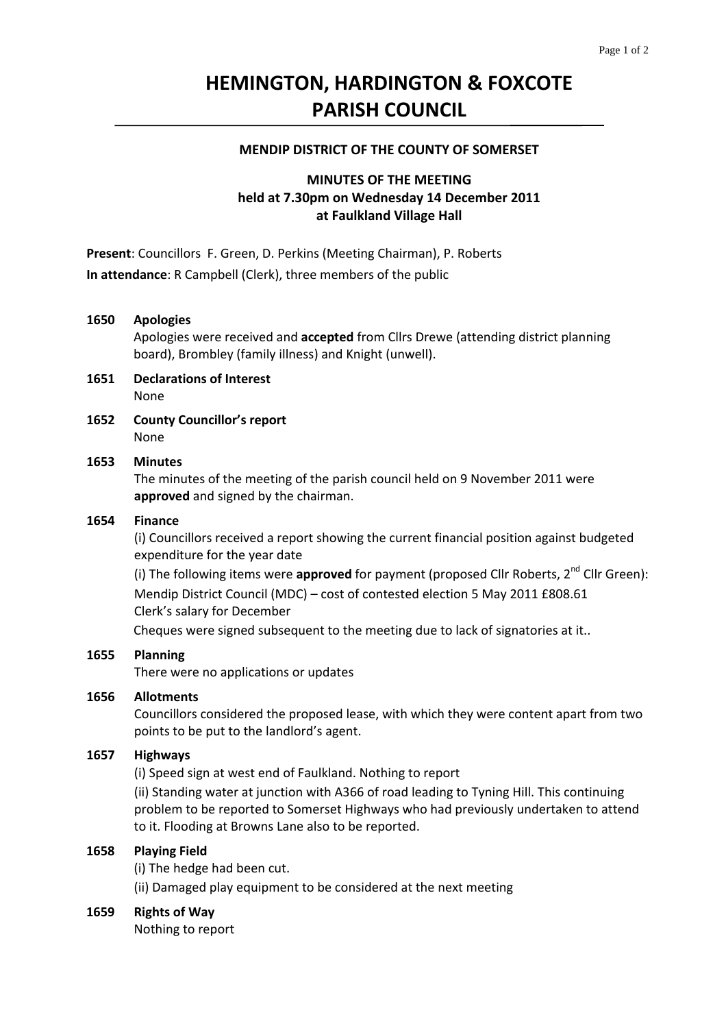# **HEMINGTON, HARDINGTON & FOXCOTE PARISH COUNCIL**

#### **MENDIP DISTRICT OF THE COUNTY OF SOMERSET**

## **MINUTES OF THE MEETING held at 7.30pm on Wednesday 14 December 2011 at Faulkland Village Hall**

**Present**: Councillors F. Green, D. Perkins (Meeting Chairman), P. Roberts **In attendance**: R Campbell (Clerk), three members of the public

### **1650 Apologies**

Apologies were received and **accepted** from Cllrs Drewe (attending district planning board), Brombley (family illness) and Knight (unwell).

- **1651 Declarations of Interest** None
- **1652 County Councillor's report** None

### **1653 Minutes**

 The minutes of the meeting of the parish council held on 9 November 2011 were **approved** and signed by the chairman.

#### **1654 Finance**

(i) Councillors received a report showing the current financial position against budgeted expenditure for the year date

(i) The following items were **approved** for payment (proposed Cllr Roberts, 2<sup>nd</sup> Cllr Green): Mendip District Council (MDC) – cost of contested election 5 May 2011 £808.61 Clerk's salary for December

Cheques were signed subsequent to the meeting due to lack of signatories at it..

#### **1655 Planning**

There were no applications or updates

#### **1656 Allotments**

Councillors considered the proposed lease, with which they were content apart from two points to be put to the landlord's agent.

## **1657 Highways**

(i) Speed sign at west end of Faulkland. Nothing to report

 (ii) Standing water at junction with A366 of road leading to Tyning Hill. This continuing problem to be reported to Somerset Highways who had previously undertaken to attend to it. Flooding at Browns Lane also to be reported.

## **1658 Playing Field**

(i) The hedge had been cut.

 (ii) Damaged play equipment to be considered at the next meeting

#### **1659 Rights of Way**

Nothing to report